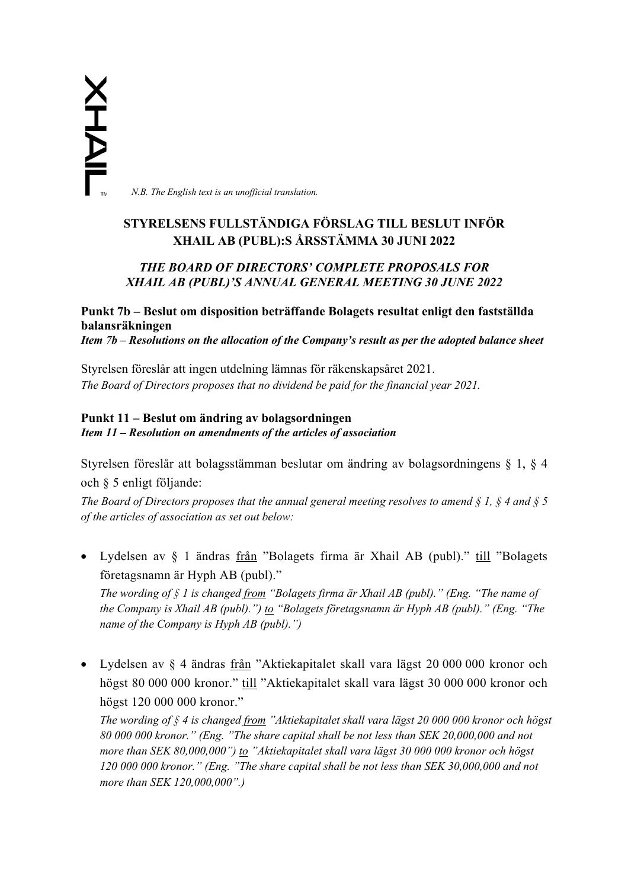*N.B. The English text is an unofficial translation.*

# **STYRELSENS FULLSTÄNDIGA FÖRSLAG TILL BESLUT INFÖR XHAIL AB (PUBL):S ÅRSSTÄMMA 30 JUNI 2022**

# *THE BOARD OF DIRECTORS' COMPLETE PROPOSALS FOR XHAIL AB (PUBL)'S ANNUAL GENERAL MEETING 30 JUNE 2022*

# **Punkt 7b – Beslut om disposition beträffande Bolagets resultat enligt den fastställda balansräkningen**

*Item 7b – Resolutions on the allocation of the Company's result as per the adopted balance sheet*

Styrelsen föreslår att ingen utdelning lämnas för räkenskapsåret 2021. *The Board of Directors proposes that no dividend be paid for the financial year 2021.*

# **Punkt 11 – Beslut om ändring av bolagsordningen**

*Item 11 – Resolution on amendments of the articles of association*

Styrelsen föreslår att bolagsstämman beslutar om ändring av bolagsordningens § 1, § 4 och § 5 enligt följande:

*The Board of Directors proposes that the annual general meeting resolves to amend § 1, § 4 and § 5 of the articles of association as set out below:*

• Lydelsen av § 1 ändras från "Bolagets firma är Xhail AB (publ)." till "Bolagets företagsnamn är Hyph AB (publ)."

*The wording of § 1 is changed from "Bolagets firma är Xhail AB (publ)." (Eng. "The name of the Company is Xhail AB (publ).") to "Bolagets företagsnamn är Hyph AB (publ)." (Eng. "The name of the Company is Hyph AB (publ).")*

• Lydelsen av § 4 ändras från "Aktiekapitalet skall vara lägst 20 000 000 kronor och högst 80 000 000 kronor." till "Aktiekapitalet skall vara lägst 30 000 000 kronor och högst 120 000 000 kronor."

*The wording of § 4 is changed from "Aktiekapitalet skall vara lägst 20 000 000 kronor och högst 80 000 000 kronor." (Eng. "The share capital shall be not less than SEK 20,000,000 and not more than SEK 80,000,000") to "Aktiekapitalet skall vara lägst 30 000 000 kronor och högst 120 000 000 kronor." (Eng. "The share capital shall be not less than SEK 30,000,000 and not more than SEK 120,000,000".)*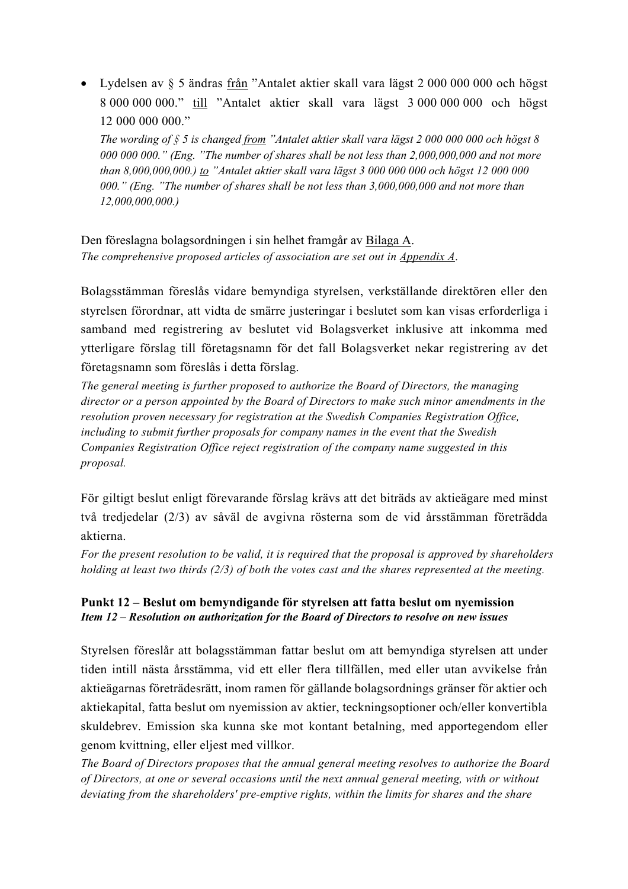• Lydelsen av § 5 ändras från "Antalet aktier skall vara lägst 2 000 000 000 och högst 8 000 000 000." till "Antalet aktier skall vara lägst 3 000 000 000 och högst 12 000 000 000."

*The wording of § 5 is changed from "Antalet aktier skall vara lägst 2 000 000 000 och högst 8 000 000 000." (Eng. "The number of shares shall be not less than 2,000,000,000 and not more than 8,000,000,000.) to "Antalet aktier skall vara lägst 3 000 000 000 och högst 12 000 000 000." (Eng. "The number of shares shall be not less than 3,000,000,000 and not more than 12,000,000,000.)*

Den föreslagna bolagsordningen i sin helhet framgår av Bilaga A. *The comprehensive proposed articles of association are set out in Appendix A*.

Bolagsstämman föreslås vidare bemyndiga styrelsen, verkställande direktören eller den styrelsen förordnar, att vidta de smärre justeringar i beslutet som kan visas erforderliga i samband med registrering av beslutet vid Bolagsverket inklusive att inkomma med ytterligare förslag till företagsnamn för det fall Bolagsverket nekar registrering av det företagsnamn som föreslås i detta förslag.

*The general meeting is further proposed to authorize the Board of Directors, the managing director or a person appointed by the Board of Directors to make such minor amendments in the resolution proven necessary for registration at the Swedish Companies Registration Office, including to submit further proposals for company names in the event that the Swedish Companies Registration Office reject registration of the company name suggested in this proposal.*

För giltigt beslut enligt förevarande förslag krävs att det biträds av aktieägare med minst två tredjedelar (2/3) av såväl de avgivna rösterna som de vid årsstämman företrädda aktierna.

*For the present resolution to be valid, it is required that the proposal is approved by shareholders holding at least two thirds (2/3) of both the votes cast and the shares represented at the meeting.*

## **Punkt 12 – Beslut om bemyndigande för styrelsen att fatta beslut om nyemission** *Item 12 – Resolution on authorization for the Board of Directors to resolve on new issues*

Styrelsen föreslår att bolagsstämman fattar beslut om att bemyndiga styrelsen att under tiden intill nästa årsstämma, vid ett eller flera tillfällen, med eller utan avvikelse från aktieägarnas företrädesrätt, inom ramen för gällande bolagsordnings gränser för aktier och aktiekapital, fatta beslut om nyemission av aktier, teckningsoptioner och/eller konvertibla skuldebrev. Emission ska kunna ske mot kontant betalning, med apportegendom eller genom kvittning, eller eljest med villkor.

*The Board of Directors proposes that the annual general meeting resolves to authorize the Board of Directors, at one or several occasions until the next annual general meeting, with or without deviating from the shareholders' pre-emptive rights, within the limits for shares and the share*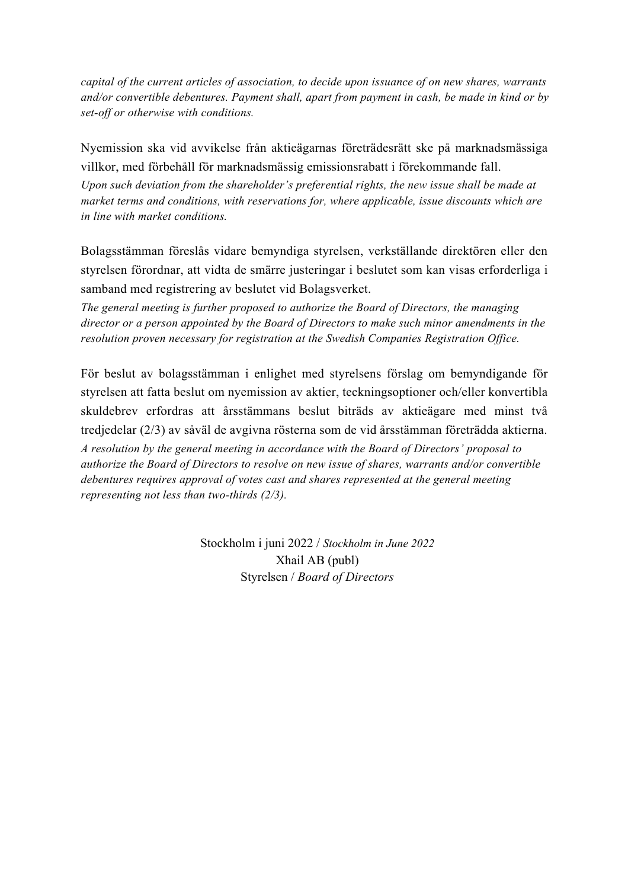*capital of the current articles of association, to decide upon issuance of on new shares, warrants and/or convertible debentures. Payment shall, apart from payment in cash, be made in kind or by set-off or otherwise with conditions.* 

Nyemission ska vid avvikelse från aktieägarnas företrädesrätt ske på marknadsmässiga villkor, med förbehåll för marknadsmässig emissionsrabatt i förekommande fall.

*Upon such deviation from the shareholder's preferential rights, the new issue shall be made at market terms and conditions, with reservations for, where applicable, issue discounts which are in line with market conditions.* 

Bolagsstämman föreslås vidare bemyndiga styrelsen, verkställande direktören eller den styrelsen förordnar, att vidta de smärre justeringar i beslutet som kan visas erforderliga i samband med registrering av beslutet vid Bolagsverket.

*The general meeting is further proposed to authorize the Board of Directors, the managing director or a person appointed by the Board of Directors to make such minor amendments in the resolution proven necessary for registration at the Swedish Companies Registration Office.*

För beslut av bolagsstämman i enlighet med styrelsens förslag om bemyndigande för styrelsen att fatta beslut om nyemission av aktier, teckningsoptioner och/eller konvertibla skuldebrev erfordras att årsstämmans beslut biträds av aktieägare med minst två tredjedelar (2/3) av såväl de avgivna rösterna som de vid årsstämman företrädda aktierna. *A resolution by the general meeting in accordance with the Board of Directors' proposal to authorize the Board of Directors to resolve on new issue of shares, warrants and/or convertible debentures requires approval of votes cast and shares represented at the general meeting representing not less than two-thirds (2/3).*

> Stockholm i juni 2022 / *Stockholm in June 2022* Xhail AB (publ) Styrelsen / *Board of Directors*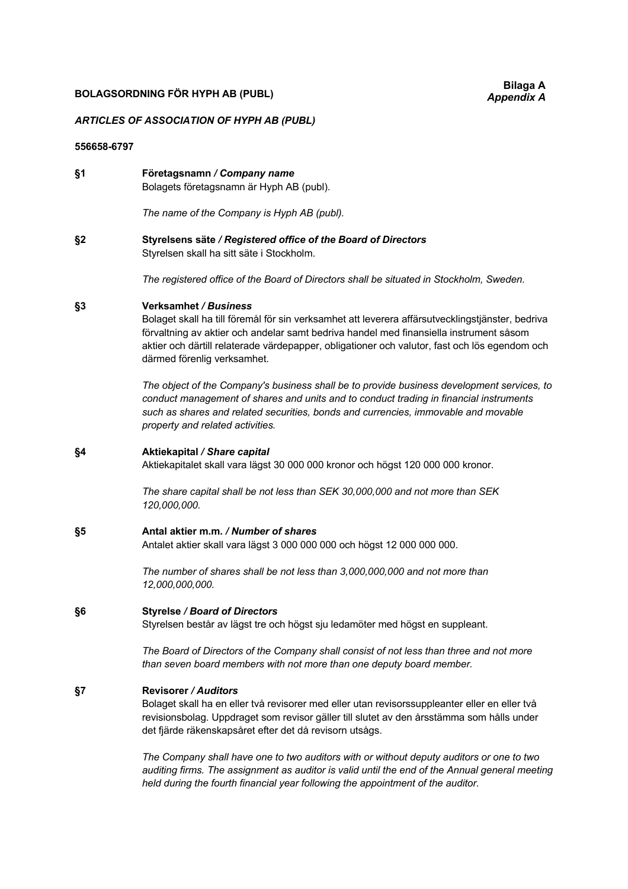## **BOLAGSORDNING FÖR HYPH AB (PUBL)**

## *ARTICLES OF ASSOCIATION OF HYPH AB (PUBL)*

#### **556658-6797**

**§1 Företagsnamn** */ Company name* Bolagets företagsnamn är Hyph AB (publ).

*The name of the Company is Hyph AB (publ).*

**§2 Styrelsens säte** */ Registered office of the Board of Directors* Styrelsen skall ha sitt säte i Stockholm.

*The registered office of the Board of Directors shall be situated in Stockholm, Sweden.*

## **§3 Verksamhet** */ Business*

Bolaget skall ha till föremål för sin verksamhet att leverera affärsutvecklingstjänster, bedriva förvaltning av aktier och andelar samt bedriva handel med finansiella instrument såsom aktier och därtill relaterade värdepapper, obligationer och valutor, fast och lös egendom och därmed förenlig verksamhet.

*The object of the Company's business shall be to provide business development services, to conduct management of shares and units and to conduct trading in financial instruments such as shares and related securities, bonds and currencies, immovable and movable property and related activities.*

#### **§4 Aktiekapital** */ Share capital*

Aktiekapitalet skall vara lägst 30 000 000 kronor och högst 120 000 000 kronor.

*The share capital shall be not less than SEK 30,000,000 and not more than SEK 120,000,000.*

## **§5 Antal aktier m.m.** */ Number of shares*

Antalet aktier skall vara lägst 3 000 000 000 och högst 12 000 000 000.

*The number of shares shall be not less than 3,000,000,000 and not more than 12,000,000,000.*

#### **§6 Styrelse** */ Board of Directors*

Styrelsen består av lägst tre och högst sju ledamöter med högst en suppleant.

*The Board of Directors of the Company shall consist of not less than three and not more than seven board members with not more than one deputy board member.*

## **§7 Revisorer** */ Auditors*

Bolaget skall ha en eller två revisorer med eller utan revisorssuppleanter eller en eller två revisionsbolag. Uppdraget som revisor gäller till slutet av den årsstämma som hålls under det fjärde räkenskapsåret efter det då revisorn utsågs.

*The Company shall have one to two auditors with or without deputy auditors or one to two auditing firms. The assignment as auditor is valid until the end of the Annual general meeting held during the fourth financial year following the appointment of the auditor.*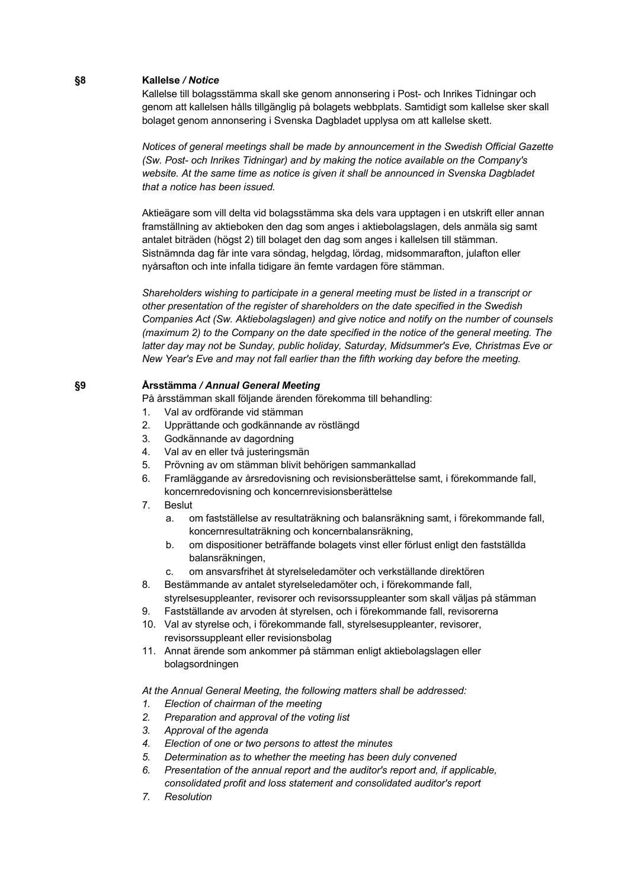## **§8 Kallelse** */ Notice*

Kallelse till bolagsstämma skall ske genom annonsering i Post- och Inrikes Tidningar och genom att kallelsen hålls tillgänglig på bolagets webbplats. Samtidigt som kallelse sker skall bolaget genom annonsering i Svenska Dagbladet upplysa om att kallelse skett.

*Notices of general meetings shall be made by announcement in the Swedish Official Gazette (Sw. Post- och Inrikes Tidningar) and by making the notice available on the Company's website. At the same time as notice is given it shall be announced in Svenska Dagbladet that a notice has been issued.*

Aktieägare som vill delta vid bolagsstämma ska dels vara upptagen i en utskrift eller annan framställning av aktieboken den dag som anges i aktiebolagslagen, dels anmäla sig samt antalet biträden (högst 2) till bolaget den dag som anges i kallelsen till stämman. Sistnämnda dag får inte vara söndag, helgdag, lördag, midsommarafton, julafton eller nyårsafton och inte infalla tidigare än femte vardagen före stämman.

*Shareholders wishing to participate in a general meeting must be listed in a transcript or other presentation of the register of shareholders on the date specified in the Swedish Companies Act (Sw. Aktiebolagslagen) and give notice and notify on the number of counsels (maximum 2) to the Company on the date specified in the notice of the general meeting. The latter day may not be Sunday, public holiday, Saturday, Midsummer's Eve, Christmas Eve or New Year's Eve and may not fall earlier than the fifth working day before the meeting.*

## **§9 Årsstämma** */ Annual General Meeting*

På årsstämman skall följande ärenden förekomma till behandling:

- 1. Val av ordförande vid stämman
- 2. Upprättande och godkännande av röstlängd
- 3. Godkännande av dagordning
- 4. Val av en eller två justeringsmän
- 5. Prövning av om stämman blivit behörigen sammankallad
- 6. Framläggande av årsredovisning och revisionsberättelse samt, i förekommande fall, koncernredovisning och koncernrevisionsberättelse
- 7. Beslut
	- a. om fastställelse av resultaträkning och balansräkning samt, i förekommande fall, koncernresultaträkning och koncernbalansräkning,
	- b. om dispositioner beträffande bolagets vinst eller förlust enligt den fastställda balansräkningen,
	- c. om ansvarsfrihet åt styrelseledamöter och verkställande direktören
- 8. Bestämmande av antalet styrelseledamöter och, i förekommande fall, styrelsesuppleanter, revisorer och revisorssuppleanter som skall väljas på stämman
- 9. Fastställande av arvoden åt styrelsen, och i förekommande fall, revisorerna
- 10. Val av styrelse och, i förekommande fall, styrelsesuppleanter, revisorer, revisorssuppleant eller revisionsbolag
- 11. Annat ärende som ankommer på stämman enligt aktiebolagslagen eller bolagsordningen

*At the Annual General Meeting, the following matters shall be addressed:*

- *1. Election of chairman of the meeting*
- *2. Preparation and approval of the voting list*
- *3. Approval of the agenda*
- *4. Election of one or two persons to attest the minutes*
- *5. Determination as to whether the meeting has been duly convened*
- *6. Presentation of the annual report and the auditor's report and, if applicable, consolidated profit and loss statement and consolidated auditor's report*
- *7. Resolution*